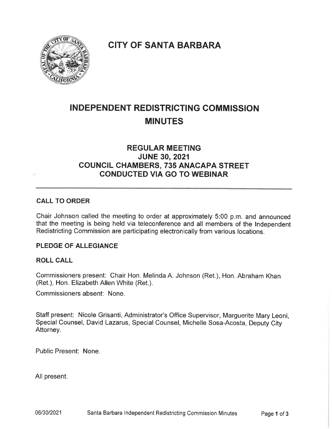

## **CITY OF SANTA BARBARA**

# INDEPENDENT REDISTRICTING COMMISSION MINUTES

## REGULAR MEETING JUNE 30, 2021 COUNCIL CHAMBERS, 735 ANACAPA STREET CONDUCTED VIA GO TO WEBINAR

#### CALL TO ORDER

Chair Johnson called the meeting to order at approximately 5:00 p. m. and announced that the meeting is being held via teleconference and all members of the Independent Redistricting Commission are participating electronically from various locations.

#### PLEDGE OF ALLEGIANCE

#### ROLL CALL

Commissioners present: Chair Hon. Melinda A. Johnson (Ret. ), Hon. Abraham Khan (Ret.), Hon. Elizabeth Allen White (Ret.).

Commissioners absent: None.

Staff present: Nicole Grisanti, Administrator's Office Supervisor, Marguerite Mary Leoni, Special Counsel, David Lazarus, Special Counsel, Michelle Sosa-Acosta, Deputy City Attorney.

Public Present: None.

All present.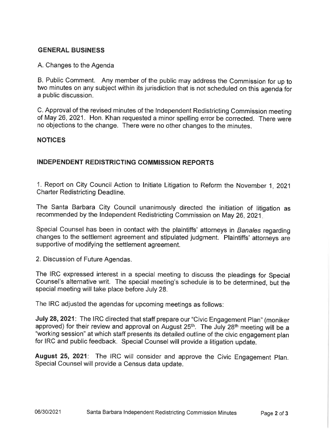#### GENERAL BUSINESS

#### A. Changes to the Agenda

B. Public Comment. Any member of the public may address the Commission for up to two minutes on any subject within its jurisdiction that is not scheduled on this agenda for a public discussion.

C Approval of the revised minutes of the Independent Redistricting Commission meeting of May 26, 2021. Hon. Khan requested a minor spelling error be corrected. There were no objections to the change. There were no other changes to the minutes.

#### NOTICES

#### INDEPENDENT REDISTRICTING COMMISSION REPORTS

1. Report on City Council Action to Initiate Litigation to Reform the November 1, 2021 Charter Redistricting Deadline.

The Santa Barbara City Council unanimously directed the initiation of litigation as recommended by the Independent Redistricting Commission on May 26, 2021

Special Counsel has been in contact with the plaintiffs' attorneys in Banales regarding changes to the settlement agreement and stipulated judgment. Plaintiffs' attorneys are supportive of modifying the settlement agreement.

2. Discussion of Future Agendas.

The IRC expressed interest in a special meeting to discuss the pleadings for Special Counsel's alternative writ. The special meeting's schedule is to be determined, but the special meeting will take place before July 28.

The IRC adjusted the agendas for upcoming meetings as follows:

July 28, 2021: The IRC directed that staff prepare our "Civic Engagement Plan" (moniker approved) for their review and approval on August 25<sup>th</sup>. The July 28<sup>th</sup> meeting will be a "working session" at which staff presents its detailed outline of the civic engagement plan for IRC and public feedback. Special Counsel will provide a litigation update.

August 25, 2021: The IRC will consider and approve the Civic Engagement Plan. Special Counsel will provide a Census data update.